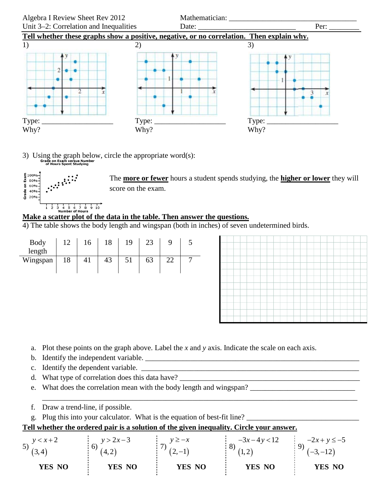

3) Using the graph below, circle the appropriate word(s):<br> $G_{\text{total}}^{\text{G}_\text{total}}$  on Exam versus Number



The **more or fewer** hours a student spends studying, the **higher or lower** they will score on the exam.

## **Make a scatter plot of the data in the table. Then answer the questions.**

4) The table shows the body length and wingspan (both in inches) of seven undetermined birds.

| Body<br>length | 12 | 16 | 18 | 19 | 23 | 9  | 5              |  |  |  |  |  |  |
|----------------|----|----|----|----|----|----|----------------|--|--|--|--|--|--|
| Wingspan       | 18 | 41 | 43 | 51 | 63 | 22 | $\overline{7}$ |  |  |  |  |  |  |
|                |    |    |    |    |    |    |                |  |  |  |  |  |  |
|                |    |    |    |    |    |    |                |  |  |  |  |  |  |
|                |    |    |    |    |    |    |                |  |  |  |  |  |  |
|                |    |    |    |    |    |    |                |  |  |  |  |  |  |

- a. Plot these points on the graph above. Label the *x* and *y* axis. Indicate the scale on each axis.
- b. Identify the independent variable. \_\_\_\_\_\_\_\_\_\_\_\_\_\_\_\_\_\_\_\_\_\_\_\_\_\_\_\_\_\_\_\_\_\_\_\_\_\_\_\_\_\_\_\_\_\_\_\_\_\_\_\_\_\_\_\_\_
- c. Identify the dependent variable. \_\_\_\_\_\_\_\_\_\_\_\_\_\_\_\_\_\_\_\_\_\_\_\_\_\_\_\_\_\_\_\_\_\_\_\_\_\_\_\_\_\_\_\_\_\_\_\_\_\_\_\_\_\_\_\_\_\_
- d. What type of correlation does this data have?
- e. What does the correlation mean with the body length and wingspan?
- f. Draw a trend-line, if possible.
- g. Plug this into your calculator. What is the equation of best-fit line?

## **Tell whether the ordered pair is a solution of the given inequality. Circle your answer.**

| $v < x + 2$<br>5)<br>J.,<br>(3,4) | $y > 2x-3$<br>4.2 | $y \geq -x$<br>$(2,-1)$ | $-3x-4y<12$<br>$\mathbf{I}$ | $-2x + y \le -5$<br>$(-3,-12)$ |
|-----------------------------------|-------------------|-------------------------|-----------------------------|--------------------------------|
| YES NO                            | YES NO            | YES NO                  | YES NO                      | YES NO                         |

\_\_\_\_\_\_\_\_\_\_\_\_\_\_\_\_\_\_\_\_\_\_\_\_\_\_\_\_\_\_\_\_\_\_\_\_\_\_\_\_\_\_\_\_\_\_\_\_\_\_\_\_\_\_\_\_\_\_\_\_\_\_\_\_\_\_\_\_\_\_\_\_\_\_\_\_\_\_\_\_\_\_\_\_